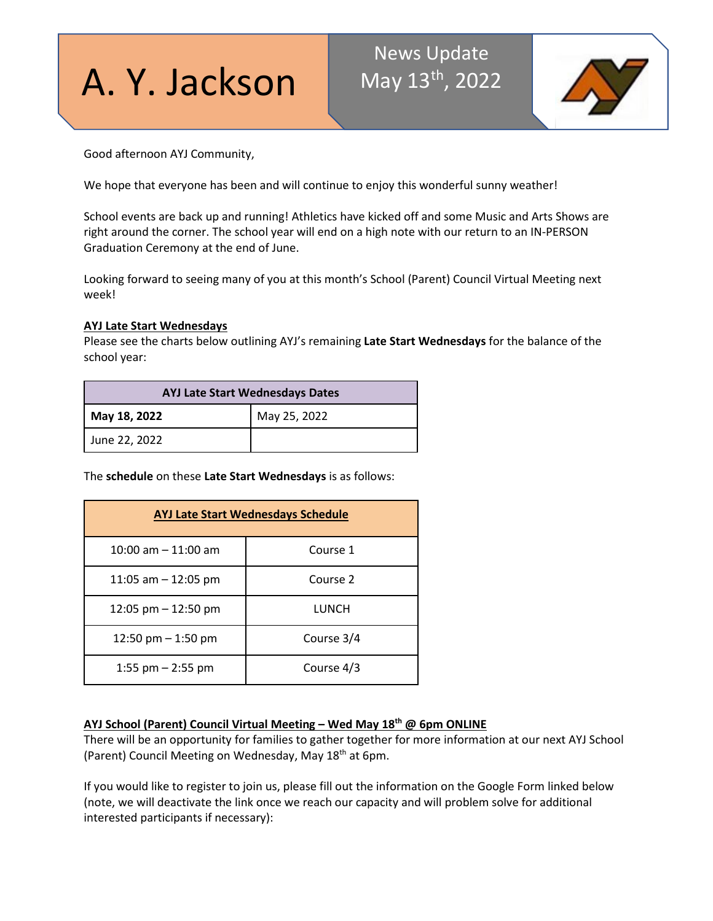# A. Y. Jackson

# News Update May 13<sup>th</sup>, 2022



Good afternoon AYJ Community,

We hope that everyone has been and will continue to enjoy this wonderful sunny weather!

School events are back up and running! Athletics have kicked off and some Music and Arts Shows are right around the corner. The school year will end on a high note with our return to an IN-PERSON Graduation Ceremony at the end of June.

Looking forward to seeing many of you at this month's School (Parent) Council Virtual Meeting next week!

### **AYJ Late Start Wednesdays**

Please see the charts below outlining AYJ's remaining **Late Start Wednesdays** for the balance of the school year:

| <b>AYJ Late Start Wednesdays Dates</b> |              |
|----------------------------------------|--------------|
| May 18, 2022                           | May 25, 2022 |
| June 22, 2022                          |              |

The **schedule** on these **Late Start Wednesdays** is as follows:

| <b>AYJ Late Start Wednesdays Schedule</b> |            |
|-------------------------------------------|------------|
| $10:00$ am $-11:00$ am                    | Course 1   |
| 11:05 am $-$ 12:05 pm                     | Course 2   |
| 12:05 pm $-$ 12:50 pm                     | LUNCH      |
| 12:50 pm $-$ 1:50 pm                      | Course 3/4 |
| 1:55 pm $-$ 2:55 pm                       | Course 4/3 |

# **AYJ School (Parent) Council Virtual Meeting – Wed May 18th @ 6pm ONLINE**

There will be an opportunity for families to gather together for more information at our next AYJ School (Parent) Council Meeting on Wednesday, May 18<sup>th</sup> at 6pm.

If you would like to register to join us, please fill out the information on the Google Form linked below (note, we will deactivate the link once we reach our capacity and will problem solve for additional interested participants if necessary):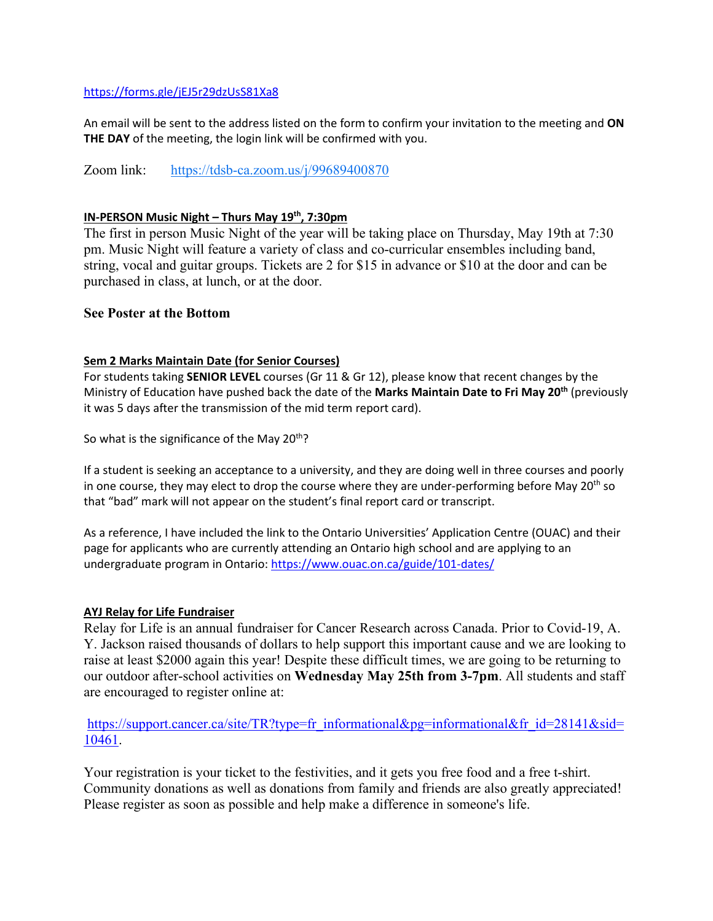### <https://forms.gle/jEJ5r29dzUsS81Xa8>

An email will be sent to the address listed on the form to confirm your invitation to the meeting and **ON THE DAY** of the meeting, the login link will be confirmed with you.

Zoom link: <https://tdsb-ca.zoom.us/j/99689400870>

### **IN-PERSON Music Night – Thurs May 19th, 7:30pm**

The first in person Music Night of the year will be taking place on Thursday, May 19th at 7:30 pm. Music Night will feature a variety of class and co-curricular ensembles including band, string, vocal and guitar groups. Tickets are 2 for \$15 in advance or \$10 at the door and can be purchased in class, at lunch, or at the door.

## **See Poster at the Bottom**

### **Sem 2 Marks Maintain Date (for Senior Courses)**

For students taking **SENIOR LEVEL** courses (Gr 11 & Gr 12), please know that recent changes by the Ministry of Education have pushed back the date of the **Marks Maintain Date to Fri May 20th** (previously it was 5 days after the transmission of the mid term report card).

So what is the significance of the May  $20<sup>th</sup>$ ?

If a student is seeking an acceptance to a university, and they are doing well in three courses and poorly in one course, they may elect to drop the course where they are under-performing before May 20<sup>th</sup> so that "bad" mark will not appear on the student's final report card or transcript.

As a reference, I have included the link to the Ontario Universities' Application Centre (OUAC) and their page for applicants who are currently attending an Ontario high school and are applying to an undergraduate program in Ontario:<https://www.ouac.on.ca/guide/101-dates/>

### **AYJ Relay for Life Fundraiser**

Relay for Life is an annual fundraiser for Cancer Research across Canada. Prior to Covid-19, A. Y. Jackson raised thousands of dollars to help support this important cause and we are looking to raise at least \$2000 again this year! Despite these difficult times, we are going to be returning to our outdoor after-school activities on **Wednesday May 25th from 3-7pm**. All students and staff are encouraged to register online at:

[https://support.cancer.ca/site/TR?type=fr\\_informational&pg=informational&fr\\_id=28141&sid=](https://support.cancer.ca/site/TR?type=fr_informational&pg=informational&fr_id=28141&sid=10461) [10461.](https://support.cancer.ca/site/TR?type=fr_informational&pg=informational&fr_id=28141&sid=10461)

Your registration is your ticket to the festivities, and it gets you free food and a free t-shirt. Community donations as well as donations from family and friends are also greatly appreciated! Please register as soon as possible and help make a difference in someone's life.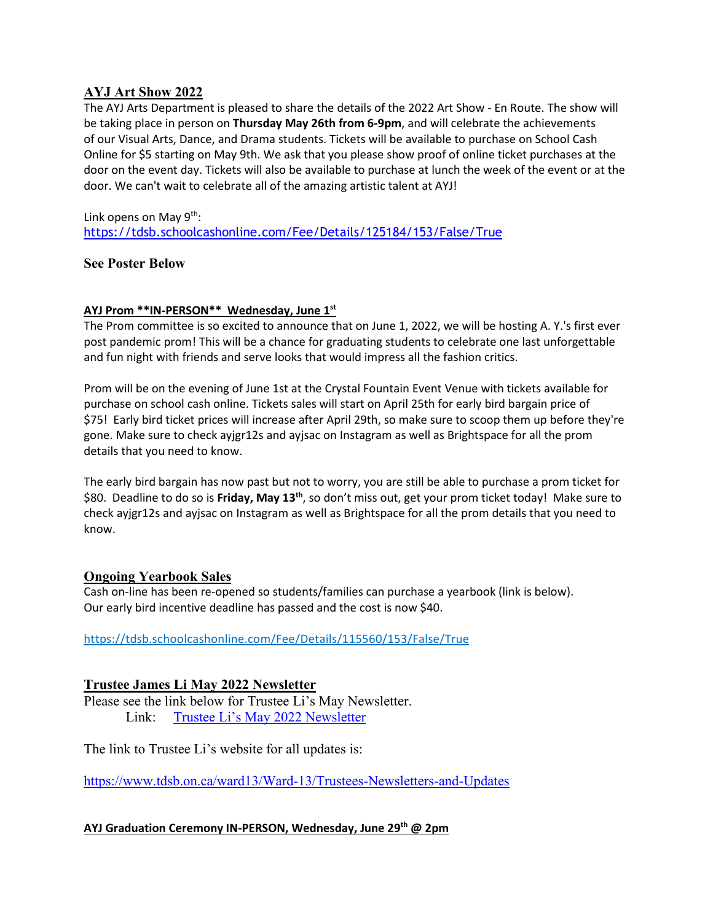# **AYJ Art Show 2022**

The AYJ Arts Department is pleased to share the details of the 2022 Art Show - En Route. The show will be taking place in person on **Thursday May 26th from 6-9pm**, and will celebrate the achievements of our Visual Arts, Dance, and Drama students. Tickets will be available to purchase on School Cash Online for \$5 starting on May 9th. We ask that you please show proof of online ticket purchases at the door on the event day. Tickets will also be available to purchase at lunch the week of the event or at the door. We can't wait to celebrate all of the amazing artistic talent at AYJ!

Link opens on May 9<sup>th</sup>: <https://tdsb.schoolcashonline.com/Fee/Details/125184/153/False/True>

# **See Poster Below**

# **AYJ Prom \*\*IN-PERSON\*\* Wednesday, June 1st**

The Prom committee is so excited to announce that on June 1, 2022, we will be hosting A. Y.'s first ever post pandemic prom! This will be a chance for graduating students to celebrate one last unforgettable and fun night with friends and serve looks that would impress all the fashion critics.

Prom will be on the evening of June 1st at the Crystal Fountain Event Venue with tickets available for purchase on school cash online. Tickets sales will start on April 25th for early bird bargain price of \$75! Early bird ticket prices will increase after April 29th, so make sure to scoop them up before they're gone. Make sure to check ayjgr12s and ayjsac on Instagram as well as Brightspace for all the prom details that you need to know.

The early bird bargain has now past but not to worry, you are still be able to purchase a prom ticket for \$80. Deadline to do so is **Friday, May 13th**, so don't miss out, get your prom ticket today! Make sure to check ayjgr12s and ayjsac on Instagram as well as Brightspace for all the prom details that you need to know.

# **Ongoing Yearbook Sales**

Cash on-line has been re-opened so students/families can purchase a yearbook (link is below). Our early bird incentive deadline has passed and the cost is now \$40.

<https://tdsb.schoolcashonline.com/Fee/Details/115560/153/False/True>

# **Trustee James Li May 2022 Newsletter**

Please see the link below for Trustee Li's May Newsletter. Link: [Trustee Li's May 2022 Newsletter](https://t.e2ma.net/webview/sfleef/eedeb846810345ee839a5bffbc9371c4)

The link to Trustee Li's website for all updates is:

<https://www.tdsb.on.ca/ward13/Ward-13/Trustees-Newsletters-and-Updates>

# **AYJ Graduation Ceremony IN-PERSON, Wednesday, June 29th @ 2pm**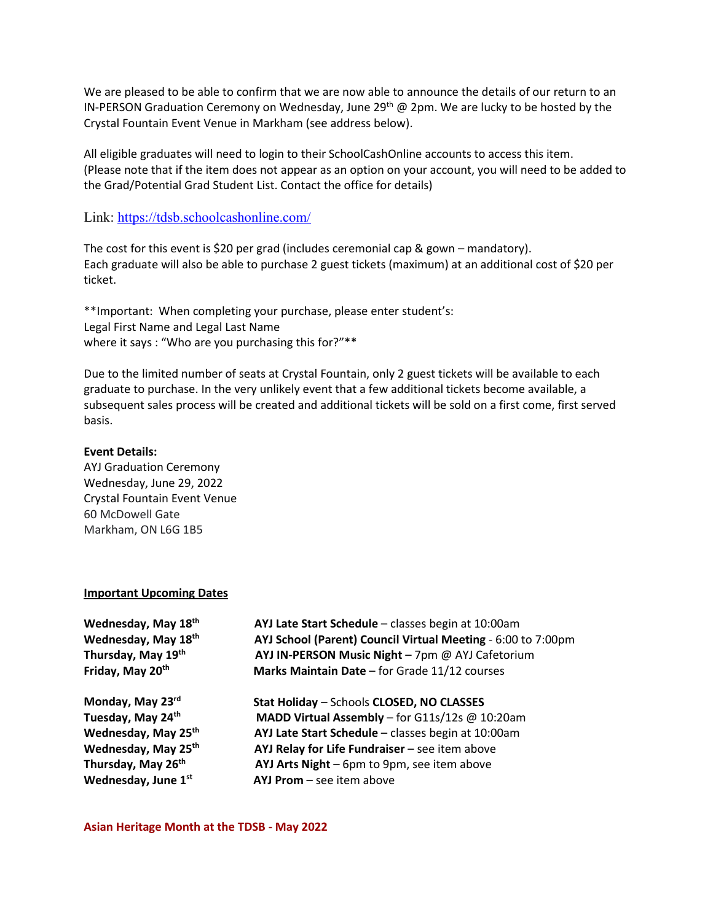We are pleased to be able to confirm that we are now able to announce the details of our return to an IN-PERSON Graduation Ceremony on Wednesday, June 29<sup>th</sup> @ 2pm. We are lucky to be hosted by the Crystal Fountain Event Venue in Markham (see address below).

All eligible graduates will need to login to their SchoolCashOnline accounts to access this item. (Please note that if the item does not appear as an option on your account, you will need to be added to the Grad/Potential Grad Student List. Contact the office for details)

Link:<https://tdsb.schoolcashonline.com/>

The cost for this event is \$20 per grad (includes ceremonial cap & gown – mandatory). Each graduate will also be able to purchase 2 guest tickets (maximum) at an additional cost of \$20 per ticket.

\*\*Important: When completing your purchase, please enter student's: Legal First Name and Legal Last Name where it says : "Who are you purchasing this for?"\*\*

Due to the limited number of seats at Crystal Fountain, only 2 guest tickets will be available to each graduate to purchase. In the very unlikely event that a few additional tickets become available, a subsequent sales process will be created and additional tickets will be sold on a first come, first served basis.

#### **Event Details:**

AYJ Graduation Ceremony Wednesday, June 29, 2022 Crystal Fountain Event Venue 60 McDowell Gate Markham, ON L6G 1B5

### **Important Upcoming Dates**

| Wednesday, May 18th             | AYJ Late Start Schedule - classes begin at 10:00am           |
|---------------------------------|--------------------------------------------------------------|
| Wednesday, May 18th             | AYJ School (Parent) Council Virtual Meeting - 6:00 to 7:00pm |
| Thursday, May 19th              | AYJ IN-PERSON Music Night - 7pm @ AYJ Cafetorium             |
| Friday, May 20th                | Marks Maintain Date - for Grade 11/12 courses                |
| Monday, May 23rd                | Stat Holiday - Schools CLOSED, NO CLASSES                    |
| Tuesday, May 24th               | MADD Virtual Assembly - for G11s/12s @ 10:20am               |
| Wednesday, May 25 <sup>th</sup> | AYJ Late Start Schedule - classes begin at 10:00am           |
| Wednesday, May 25th             | AYJ Relay for Life Fundraiser - see item above               |
| Thursday, May 26th              | AYJ Arts Night - 6pm to 9pm, see item above                  |
| Wednesday, June 1st             | $AYJ$ Prom $-$ see item above                                |

**Asian Heritage Month at the TDSB - May 2022**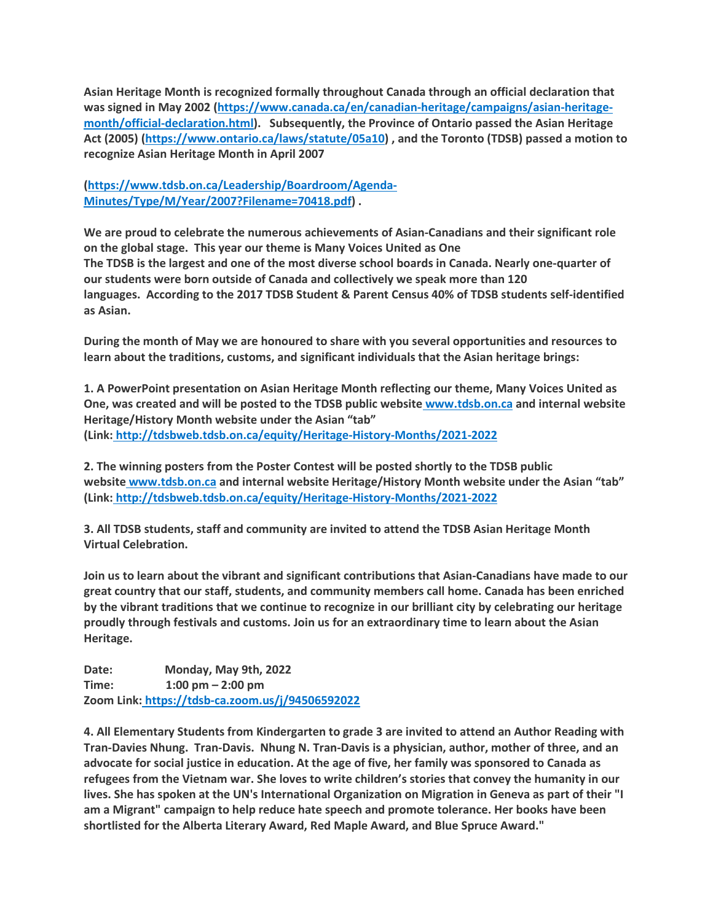**Asian Heritage Month is recognized formally throughout Canada through an official declaration that was signed in May 2002 [\(https://www.canada.ca/en/canadian-heritage/campaigns/asian-heritage](https://www.canada.ca/en/canadian-heritage/campaigns/asian-heritage-month/official-declaration.html)[month/official-declaration.html\)](https://www.canada.ca/en/canadian-heritage/campaigns/asian-heritage-month/official-declaration.html). Subsequently, the Province of Ontario passed the Asian Heritage Act (2005) [\(https://www.ontario.ca/laws/statute/05a10\)](https://www.ontario.ca/laws/statute/05a10) , and the Toronto (TDSB) passed a motion to recognize Asian Heritage Month in April 2007** 

**[\(https://www.tdsb.on.ca/Leadership/Boardroom/Agenda-](https://www.tdsb.on.ca/Leadership/Boardroom/Agenda-Minutes/Type/M/Year/2007?Filename=70418.pdf)[Minutes/Type/M/Year/2007?Filename=70418.pdf\)](https://www.tdsb.on.ca/Leadership/Boardroom/Agenda-Minutes/Type/M/Year/2007?Filename=70418.pdf) .**

**We are proud to celebrate the numerous achievements of Asian-Canadians and their significant role on the global stage. This year our theme is Many Voices United as One The TDSB is the largest and one of the most diverse school boards in Canada. Nearly one-quarter of our students were born outside of Canada and collectively we speak more than 120 languages. According to the 2017 TDSB Student & Parent Census 40% of TDSB students self-identified as Asian.**

**During the month of May we are honoured to share with you several opportunities and resources to learn about the traditions, customs, and significant individuals that the Asian heritage brings:**

**1. A PowerPoint presentation on Asian Heritage Month reflecting our theme, Many Voices United as One, was created and will be posted to the TDSB public website [www.tdsb.on.ca](http://www.tdsb.on.ca/) and internal website Heritage/History Month website under the Asian "tab" (Link: <http://tdsbweb.tdsb.on.ca/equity/Heritage-History-Months/2021-2022>**

**2. The winning posters from the Poster Contest will be posted shortly to the TDSB public website [www.tdsb.on.ca](http://www.tdsb.on.ca/) and internal website Heritage/History Month website under the Asian "tab" (Link: <http://tdsbweb.tdsb.on.ca/equity/Heritage-History-Months/2021-2022>**

**3. All TDSB students, staff and community are invited to attend the TDSB Asian Heritage Month Virtual Celebration.**

**Join us to learn about the vibrant and significant contributions that Asian-Canadians have made to our great country that our staff, students, and community members call home. Canada has been enriched by the vibrant traditions that we continue to recognize in our brilliant city by celebrating our heritage proudly through festivals and customs. Join us for an extraordinary time to learn about the Asian Heritage.**

**Date: Monday, May 9th, 2022 Time: 1:00 pm – 2:00 pm Zoom Link: <https://tdsb-ca.zoom.us/j/94506592022>**

**4. All Elementary Students from Kindergarten to grade 3 are invited to attend an Author Reading with Tran-Davies Nhung. Tran-Davis. Nhung N. Tran-Davis is a physician, author, mother of three, and an** advocate for social justice in education. At the age of five, her family was sponsored to Canada as **refugees from the Vietnam war. She loves to write children's stories that convey the humanity in our** lives. She has spoken at the UN's International Organization on Migration in Geneva as part of their "I **am a Migrant" campaign to help reduce hate speech and promote tolerance. Her books have been shortlisted for the Alberta Literary Award, Red Maple Award, and Blue Spruce Award."**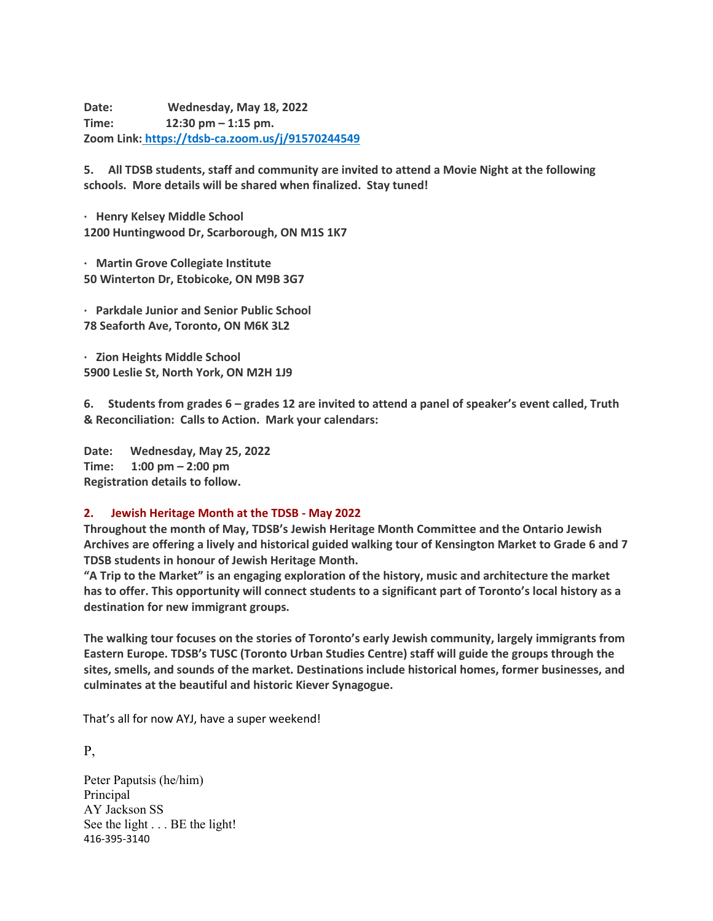**Date: Wednesday, May 18, 2022 Time: 12:30 pm – 1:15 pm. Zoom Link: <https://tdsb-ca.zoom.us/j/91570244549>**

**5. All TDSB students, staff and community are invited to attend a Movie Night at the following schools. More details will be shared when finalized. Stay tuned!**

**· Henry Kelsey Middle School 1200 Huntingwood Dr, Scarborough, ON M1S 1K7**

**· Martin Grove Collegiate Institute 50 Winterton Dr, Etobicoke, ON M9B 3G7**

**· Parkdale Junior and Senior Public School 78 Seaforth Ave, Toronto, ON M6K 3L2**

**· Zion Heights Middle School 5900 Leslie St, North York, ON M2H 1J9**

**6. Students from grades 6 – grades 12 are invited to attend a panel of speaker's event called, Truth & Reconciliation: Calls to Action. Mark your calendars:**

**Date: Wednesday, May 25, 2022 Time: 1:00 pm – 2:00 pm Registration details to follow.**

### **2. Jewish Heritage Month at the TDSB - May 2022**

**Throughout the month of May, TDSB's Jewish Heritage Month Committee and the Ontario Jewish Archives are offering a lively and historical guided walking tour of Kensington Market to Grade 6 and 7 TDSB students in honour of Jewish Heritage Month.**

**"A Trip to the Market" is an engaging exploration of the history, music and architecture the market has to offer. This opportunity will connect students to a significant part of Toronto's local history as a destination for new immigrant groups.**

**The walking tour focuses on the stories of Toronto's early Jewish community, largely immigrants from Eastern Europe. TDSB's TUSC (Toronto Urban Studies Centre) staff will guide the groups through the sites, smells, and sounds of the market. Destinations include historical homes, former businesses, and culminates at the beautiful and historic Kiever Synagogue.**

That's all for now AYJ, have a super weekend!

P,

Peter Paputsis (he/him) Principal AY Jackson SS See the light . . . BE the light! 416-395-3140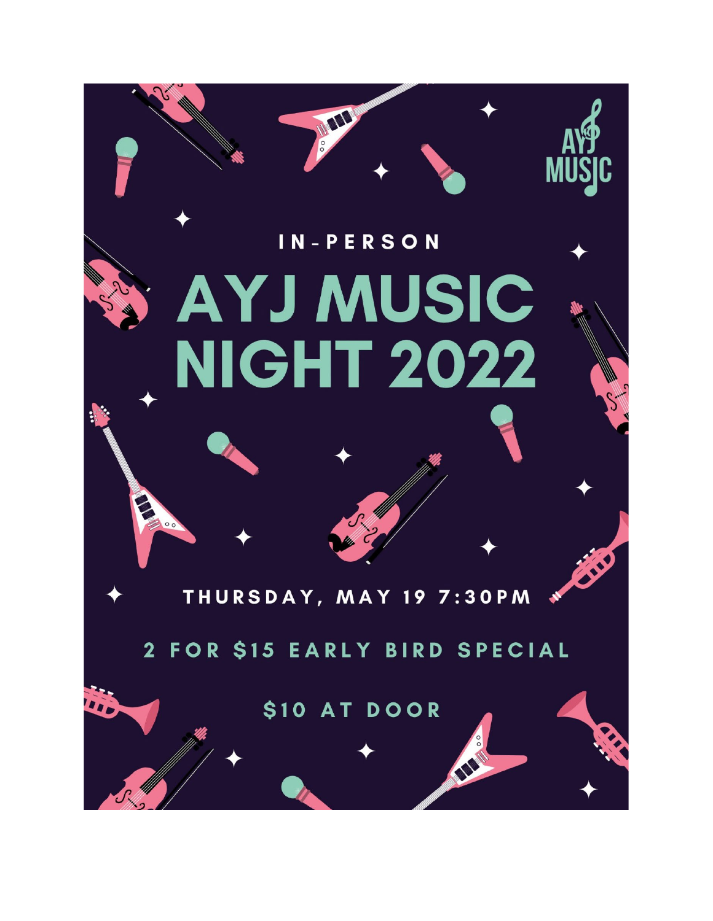